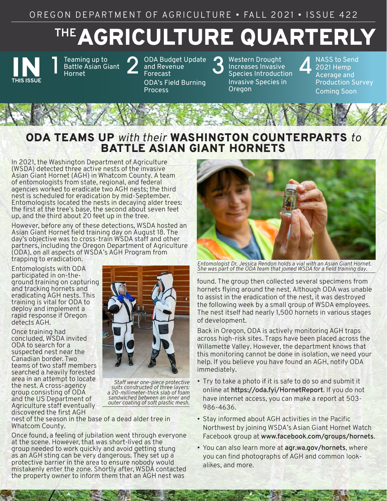# AGRICULTURE QUARTERLY **THE**



Teaming up to<br>Battle Asian Gi<br>Hornet Battle Asian Giant

Teaming up to<br>Battle Asian Giant 2 and Revenue<br>Hornet Forecast and Revenue Forecast ODA's Field Burning

**Process** 

3 Western Drought<br>3 Increases Invasive<br>5 Species Introduct Increases Invasive [Species Introduction](#page-2-0) Invasive Species in **Oregon** 

**NASS to Send** 2021 Hemp Acerage and [Production Survey](#page-3-0) Coming Soon

# ODA TEAMS UP *with their* WASHINGTON COUNTERPARTS *to* BATTLE ASIAN GIANT HORNETS

In 2021, the Washington Department of Agriculture (WSDA) detected three active nests of the invasive Asian Giant Hornet (AGH) in Whatcom County. A team of entomologists from state, regional, and federal agencies worked to eradicate two AGH nests; the third nest is scheduled for eradication by mid-September. Entomologists located the nests in decaying alder trees: the first at the tree's base, the second about seven feet up, and the third about 20 feet up in the tree.

However, before any of these detections, WSDA hosted an Asian Giant Hornet field training day on August 18. The day's objective was to cross-train WSDA staff and other partners, including the Oregon Department of Agriculture (ODA), on all aspects of WSDA's AGH Program from trapping to eradication.

Entomologists with ODA participated in on-theground training on capturing and tracking hornets and eradicating AGH nests. This training is vital for ODA to deploy and implement a rapid response if Oregon detects AGH.

Once training had concluded, WSDA invited ODA to search for a suspected nest near the Canadian border. Two teams of two staff members searched a heavily forested area in an attempt to locate the nest. A cross-agency group consisting of ODA and the US Department of Agriculture staff eventually discovered the first AGH



*Staff wear one-piece protective suits constructed of three layers: a 20-millimeter-thick slab of foam sandwiched between an inner and outer coating of soft plastic mesh.*

nest of the season in the base of a dead alder tree in Whatcom County.

Once found, a feeling of jubilation went through everyone at the scene. However, that was short-lived as the group needed to work quickly and avoid getting stung as an AGH sting can be very dangerous. They set up a protective barrier in the area to ensure nobody would mistakenly enter the zone. Shortly after, WSDA contacted the property owner to inform them that an AGH nest was



*Entomologist Dr. Jessica Rendon holds a vial with an Asian Giant Hornet. She was part of the ODA team that joined WSDA for a field training day.* 

found. The group then collected several specimens from hornets flying around the nest. Although ODA was unable to assist in the eradication of the nest, it was destroyed the following week by a small group of WSDA employees. The nest itself had nearly 1,500 hornets in various stages of development.

Back in Oregon, ODA is actively monitoring AGH traps across high-risk sites. Traps have been placed across the Willamette Valley. However, the department knows that this monitoring cannot be done in isolation, we need your help. If you believe you have found an AGH, notify ODA immediately.

- Try to take a photo if it is safe to do so and submit it online at **<https://oda.fyi/HornetReport>**. If you do not have internet access, you can make a report at 503- 986-4636.
- Stay informed about AGH activities in the Pacific Northwest by joining WSDA's Asian Giant Hornet Watch Facebook group at **[www.facebook.com/groups/hornets](http://www.facebook.com/groups/hornets)**.
- You can also learn more at **[agr.wa.gov/hornets](https://agr.wa.gov/hornets)**, where you can find photographs of AGH and common lookalikes, and more.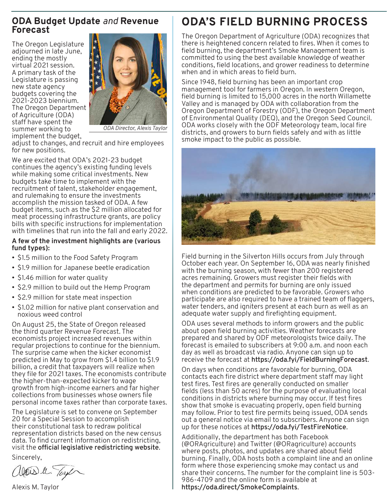# <span id="page-1-0"></span>**ODA Budget Update** *and* **Revenue Forecast**

The Oregon Legislature adjourned in late June, ending the mostly virtual 2021 session. A primary task of the Legislature is passing new state agency budgets covering the 2021-2023 biennium. The Oregon Department of Agriculture (ODA) staff have spent the summer working to implement the budget,



*ODA Director, Alexis Taylor*

adjust to changes, and recruit and hire employees for new positions.

We are excited that ODA's 2021-23 budget continues the agency's existing funding levels while making some critical investments. New budgets take time to implement with the recruitment of talent, stakeholder engagement, and rulemaking to ensure the investments accomplish the mission tasked of ODA. A few budget items, such as the \$2 million allocated for meat processing infrastructure grants, are policy bills with specific instructions for implementation with timelines that run into the fall and early 2022.

### **A few of the investment highlights are (various fund types):**

- \$1.5 million to the Food Safety Program
- \$1.9 million for Japanese beetle eradication
- \$1.46 million for water quality
- \$2.9 million to build out the Hemp Program
- \$2.9 million for state meat inspection
- \$1.02 million for native plant conservation and noxious weed control

On August 25, the State of Oregon released the third quarter Revenue Forecast. The economists project increased revenues within regular projections to continue for the biennium. The surprise came when the kicker economist predicted in May to grow from \$1.4 billion to \$1.9 billion, a credit that taxpayers will realize when they file for 2021 taxes. The economists contribute the higher-than-expected kicker to wage growth from high-income earners and far higher collections from businesses whose owners file personal income taxes rather than corporate taxes.

The Legislature is set to convene on September 20 for a Special Session to accomplish their constitutional task to redraw political representation districts based on the new census data. To find current information on redistricting, visit the **[official legislative redistricting website](https://www.oregonlegislature.gov/redistricting)**.

Sincerely,

Wais le Tayl

Alexis M. Taylor

# **ODA'S FIELD BURNING PROCESS**

The Oregon Department of Agriculture (ODA) recognizes that there is heightened concern related to fires. When it comes to field burning, the department's Smoke Management team is committed to using the best available knowledge of weather conditions, field locations, and grower readiness to determine when and in which areas to field burn.

Since 1948, field burning has been an important crop management tool for farmers in Oregon. In western Oregon, field burning is limited to 15,000 acres in the north Willamette Valley and is managed by ODA with collaboration from the Oregon Department of Forestry (ODF), the Oregon Department of Environmental Quality (DEQ), and the Oregon Seed Council. ODA works closely with the ODF Meteorology team, local fire districts, and growers to burn fields safely and with as little smoke impact to the public as possible.



Field burning in the Silverton Hills occurs from July through October each year. On September 16, ODA was nearly finished with the burning season, with fewer than 200 registered acres remaining. Growers must register their fields with the department and permits for burning are only issued when conditions are predicted to be favorable. Growers who participate are also required to have a trained team of flaggers, water tenders, and igniters present at each burn as well as an adequate water supply and firefighting equipment.

ODA uses several methods to inform growers and the public about open field burning activities. Weather forecasts are prepared and shared by ODF meteorologists twice daily. The forecast is emailed to subscribers at 9:00 a.m. and noon each day as well as broadcast via radio. Anyone can sign up to receive the forecast at **<https://oda.fyi/FieldBurningForecast>**.

On days when conditions are favorable for burning, ODA contacts each fire district where department staff may light test fires. Test fires are generally conducted on smaller fields (less than 50 acres) for the purpose of evaluating local conditions in districts where burning may occur. If test fires show that smoke is evacuating properly, open field burning may follow. Prior to test fire permits being issued, ODA sends out a general notice via email to subscribers. Anyone can sign up for these notices at **<https://oda.fyi/TestFireNotice>**.

Additionally, the department has both Facebook (@ORAgriculture) and Twitter (@ORagriculture) accounts where posts, photos, and updates are shared about field burning. Finally, ODA hosts both a complaint line and an online form where those experiencing smoke may contact us and share their concerns. The number for the complaint line is 503- 986-4709 and the online form is available at **<https://oda.direct/SmokeComplaints>**.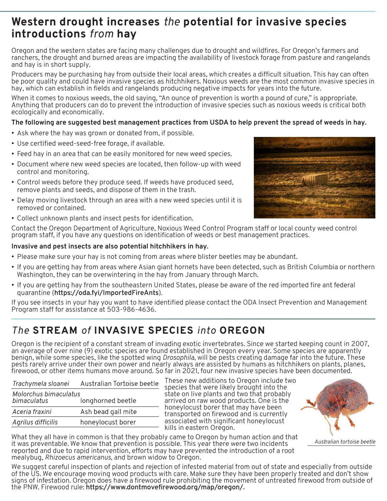# <span id="page-2-0"></span>**Western drought increases** *the* **potential for invasive species introductions** *from* **hay**

Oregon and the western states are facing many challenges due to drought and wildfires. For Oregon's farmers and ranchers, the drought and burned areas are impacting the availability of livestock forage from pasture and rangelands and hay is in short supply.

Producers may be purchasing hay from outside their local areas, which creates a difficult situation. This hay can often be poor quality and could have invasive species as hitchhikers. Noxious weeds are the most common invasive species in hay, which can establish in fields and rangelands producing negative impacts for years into the future.

When it comes to noxious weeds, the old saying, "An ounce of prevention is worth a pound of cure," is appropriate. Anything that producers can do to prevent the introduction of invasive species such as noxious weeds is critical both ecologically and economically.

## **The following are suggested best management practices from USDA to help prevent the spread of weeds in hay.**

- Ask where the hay was grown or donated from, if possible.
- Use certified weed-seed-free forage, if available.
- Feed hay in an area that can be easily monitored for new weed species.
- Document where new weed species are located, then follow-up with weed control and monitoring.
- Control weeds before they produce seed. If weeds have produced seed, remove plants and seeds, and dispose of them in the trash.
- Delay moving livestock through an area with a new weed species until it is removed or contained.
- 

• Collect unknown plants and insect pests for identification.

Contact the Oregon Department of Agriculture, Noxious Weed Control Program staff or local county weed control program staff, if you have any questions on identification of weeds or best management practices.

### **Invasive and pest insects are also potential hitchhikers in hay.**

- Please make sure your hay is not coming from areas where blister beetles may be abundant.
- If you are getting hay from areas where Asian giant hornets have been detected, such as British Columbia or northern Washington, they can be overwintering in the hay from January through March.
- If you are getting hay from the southeastern United States, please be aware of the red imported fire ant federal quarantine (**<https://oda.fyi/ImportedFireAnts>**).

If you see insects in your hay you want to have identified please contact the ODA Insect Prevention and Management Program staff for assistance at 503-986-4636.

# *The* **STREAM** *of* **INVASIVE SPECIES** *into* **OREGON**

Oregon is the recipient of a constant stream of invading exotic invertebrates. Since we started keeping count in 2007, an average of over nine (9) exotic species are found established in Oregon every year. Some species are apparently benign, while some species, like the spotted wing *Drosophila*, will be pests creating damage far into the future. These pests rarely arrive under their own power and nearly always are assisted by humans as hitchhikers on plants, planes, firewood, or other items humans move around. So far in 2021, four new invasive species have been documented.

| Australian Tortoise beetle                 |
|--------------------------------------------|
| Molorchus bimaculatus<br>longhorned beetle |
| Ash bead gall mite                         |
| honeylocust borer                          |
|                                            |

These new additions to Oregon include two species that were likely brought into the state on live plants and two that probably arrived on raw wood products. One is the honeylocust borer that may have been transported on firewood and is currently associated with significant honeylocust kills in eastern Oregon.



What they all have in common is that they probably came to Oregon by human action and that it was preventable. We know that prevention is possible. This year there were two incidents reported and due to rapid intervention, efforts may have prevented the introduction of a root mealybug, *Rhizoecus americanus*, and brown widow to Oregon.

We suggest careful inspection of plants and rejection of infested material from out of state and especially from outside of the US. We encourage moving wood products with care. Make sure they have been properly treated and don't show signs of infestation. Oregon does have a firewood rule prohibiting the movement of untreated firewood from outside of the PNW. Firewood rule: **<https://www.dontmovefirewood.org/map/oregon/>.**